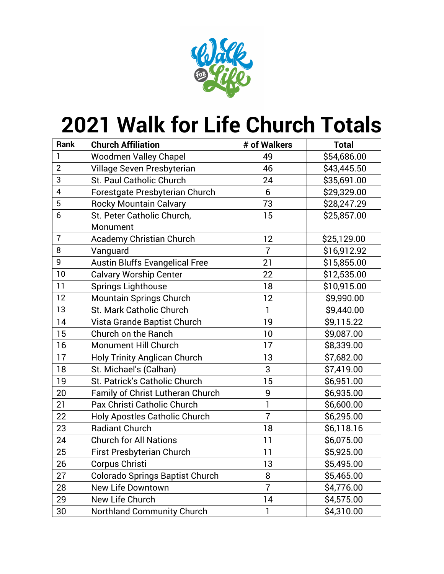

## **Walk for Life Church Totals**

| <b>Rank</b>    | <b>Church Affiliation</b>              | # of Walkers   | <b>Total</b> |
|----------------|----------------------------------------|----------------|--------------|
| 1              | <b>Woodmen Valley Chapel</b>           | 49             | \$54,686.00  |
| $\overline{2}$ | Village Seven Presbyterian             | 46             | \$43,445.50  |
| 3              | <b>St. Paul Catholic Church</b>        | 24             | \$35,691.00  |
| 4              | Forestgate Presbyterian Church         | 6              | \$29,329.00  |
| 5              | <b>Rocky Mountain Calvary</b>          | 73             | \$28,247.29  |
| 6              | St. Peter Catholic Church,             | 15             | \$25,857.00  |
|                | Monument                               |                |              |
| $\overline{7}$ | <b>Academy Christian Church</b>        | 12             | \$25,129.00  |
| 8              | Vanguard                               | $\overline{7}$ | \$16,912.92  |
| 9              | <b>Austin Bluffs Evangelical Free</b>  | 21             | \$15,855.00  |
| 10             | <b>Calvary Worship Center</b>          | 22             | \$12,535.00  |
| 11             | <b>Springs Lighthouse</b>              | 18             | \$10,915.00  |
| 12             | <b>Mountain Springs Church</b>         | 12             | \$9,990.00   |
| 13             | St. Mark Catholic Church               | $\mathbf{1}$   | \$9,440.00   |
| 14             | Vista Grande Baptist Church            | 19             | \$9,115.22   |
| 15             | Church on the Ranch                    | 10             | \$9,087.00   |
| 16             | Monument Hill Church                   | 17             | \$8,339.00   |
| 17             | <b>Holy Trinity Anglican Church</b>    | 13             | \$7,682.00   |
| 18             | St. Michael's (Calhan)                 | 3              | \$7,419.00   |
| 19             | St. Patrick's Catholic Church          | 15             | \$6,951.00   |
| 20             | Family of Christ Lutheran Church       | 9              | \$6,935.00   |
| 21             | Pax Christi Catholic Church            | 1              | \$6,600.00   |
| 22             | Holy Apostles Catholic Church          | $\overline{7}$ | \$6,295.00   |
| 23             | <b>Radiant Church</b>                  | 18             | \$6,118.16   |
| 24             | <b>Church for All Nations</b>          | 11             | \$6,075.00   |
| 25             | <b>First Presbyterian Church</b>       | 11             | \$5,925.00   |
| 26             | Corpus Christi                         | 13             | \$5,495.00   |
| 27             | <b>Colorado Springs Baptist Church</b> | 8              | \$5,465.00   |
| 28             | <b>New Life Downtown</b>               | $\overline{7}$ | \$4,776.00   |
| 29             | New Life Church                        | 14             | \$4,575.00   |
| 30             | <b>Northland Community Church</b>      | 1              | \$4,310.00   |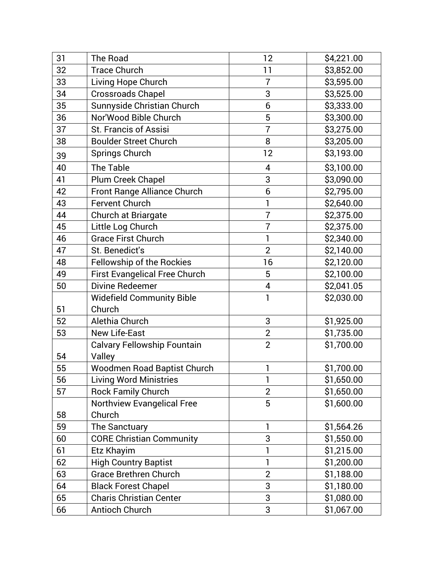| 31 | The Road                             | 12             | \$4,221.00 |
|----|--------------------------------------|----------------|------------|
| 32 | <b>Trace Church</b>                  | 11             | \$3,852.00 |
| 33 | Living Hope Church                   | $\overline{7}$ | \$3,595.00 |
| 34 | <b>Crossroads Chapel</b>             | 3              | \$3,525.00 |
| 35 | Sunnyside Christian Church           | 6              | \$3,333.00 |
| 36 | Nor'Wood Bible Church                | 5              | \$3,300.00 |
| 37 | St. Francis of Assisi                | $\overline{7}$ | \$3,275.00 |
| 38 | <b>Boulder Street Church</b>         | 8              | \$3,205.00 |
| 39 | Springs Church                       | 12             | \$3,193.00 |
| 40 | The Table                            | 4              | \$3,100.00 |
| 41 | Plum Creek Chapel                    | 3              | \$3,090.00 |
| 42 | Front Range Alliance Church          | 6              | \$2,795.00 |
| 43 | Fervent Church                       | 1              | \$2,640.00 |
| 44 | Church at Briargate                  | $\overline{7}$ | \$2,375.00 |
| 45 | Little Log Church                    | $\overline{7}$ | \$2,375.00 |
| 46 | <b>Grace First Church</b>            | 1              | \$2,340.00 |
| 47 | St. Benedict's                       | $\overline{2}$ | \$2,140.00 |
| 48 | Fellowship of the Rockies            | 16             | \$2,120.00 |
| 49 | <b>First Evangelical Free Church</b> | 5              | \$2,100.00 |
| 50 | Divine Redeemer                      | 4              | \$2,041.05 |
|    | <b>Widefield Community Bible</b>     | 1              | \$2,030.00 |
| 51 | Church                               |                |            |
| 52 | Alethia Church                       | 3              | \$1,925.00 |
| 53 | <b>New Life-East</b>                 | $\overline{2}$ | \$1,735.00 |
|    | <b>Calvary Fellowship Fountain</b>   | $\overline{2}$ | \$1,700.00 |
| 54 | Valley                               |                |            |
| 55 | Woodmen Road Baptist Church          | 1              | \$1,700.00 |
| 56 | Living Word Ministries               |                | \$1,650.00 |
| 57 | <b>Rock Family Church</b>            | $\overline{2}$ | \$1,650.00 |
|    | <b>Northview Evangelical Free</b>    | 5              | \$1,600.00 |
| 58 | Church                               |                |            |
| 59 | The Sanctuary                        | 1              | \$1,564.26 |
| 60 | <b>CORE Christian Community</b>      | 3              | \$1,550.00 |
| 61 | Etz Khayim                           | 1              | \$1,215.00 |
| 62 | <b>High Country Baptist</b>          | 1              | \$1,200.00 |
| 63 | <b>Grace Brethren Church</b>         | $\overline{2}$ | \$1,188.00 |
| 64 | <b>Black Forest Chapel</b>           | 3              | \$1,180.00 |
| 65 | <b>Charis Christian Center</b>       | 3              | \$1,080.00 |
| 66 | Antioch Church                       | 3              | \$1,067.00 |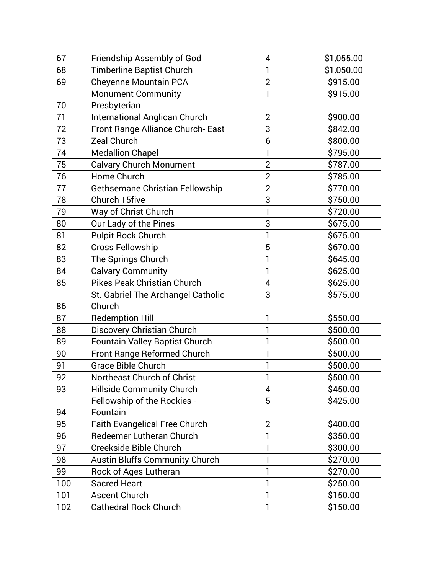| 67  | Friendship Assembly of God            | 4              | \$1,055.00 |
|-----|---------------------------------------|----------------|------------|
| 68  | <b>Timberline Baptist Church</b>      | 1              | \$1,050.00 |
| 69  | <b>Cheyenne Mountain PCA</b>          | $\overline{2}$ | \$915.00   |
|     | <b>Monument Community</b>             | 1              | \$915.00   |
| 70  | Presbyterian                          |                |            |
| 71  | <b>International Anglican Church</b>  | $\overline{2}$ | \$900.00   |
| 72  | Front Range Alliance Church-East      | 3              | \$842.00   |
| 73  | <b>Zeal Church</b>                    | 6              | \$800.00   |
| 74  | <b>Medallion Chapel</b>               | 1              | \$795.00   |
| 75  | <b>Calvary Church Monument</b>        | $\overline{2}$ | \$787.00   |
| 76  | Home Church                           | $\overline{2}$ | \$785.00   |
| 77  | Gethsemane Christian Fellowship       | $\overline{2}$ | \$770.00   |
| 78  | Church 15five                         | 3              | \$750.00   |
| 79  | Way of Christ Church                  | 1              | \$720.00   |
| 80  | Our Lady of the Pines                 | 3              | \$675.00   |
| 81  | <b>Pulpit Rock Church</b>             |                | \$675.00   |
| 82  | <b>Cross Fellowship</b>               | 5              | \$670.00   |
| 83  | The Springs Church                    |                | \$645.00   |
| 84  | <b>Calvary Community</b>              | 1              | \$625.00   |
| 85  | <b>Pikes Peak Christian Church</b>    | 4              | \$625.00   |
|     | St. Gabriel The Archangel Catholic    | 3              | \$575.00   |
| 86  | Church                                |                |            |
| 87  | <b>Redemption Hill</b>                | 1              | \$550.00   |
| 88  | <b>Discovery Christian Church</b>     |                | \$500.00   |
| 89  | <b>Fountain Valley Baptist Church</b> | 1              | \$500.00   |
| 90  | Front Range Reformed Church           |                | \$500.00   |
| 91  | <b>Grace Bible Church</b>             |                | \$500.00   |
| 92  | Northeast Church of Christ            | 1              | \$500.00   |
| 93  | Hillside Community Church             | 4              | \$450.00   |
|     | Fellowship of the Rockies -           | 5              | \$425.00   |
| 94  | Fountain                              |                |            |
| 95  | <b>Faith Evangelical Free Church</b>  | $\overline{2}$ | \$400.00   |
| 96  | Redeemer Lutheran Church              |                | \$350.00   |
| 97  | Creekside Bible Church                |                | \$300.00   |
| 98  | <b>Austin Bluffs Community Church</b> | 1              | \$270.00   |
| 99  | Rock of Ages Lutheran                 |                | \$270.00   |
| 100 | <b>Sacred Heart</b>                   | 1              | \$250.00   |
| 101 | <b>Ascent Church</b>                  | 1              | \$150.00   |
| 102 | <b>Cathedral Rock Church</b>          | 1              | \$150.00   |